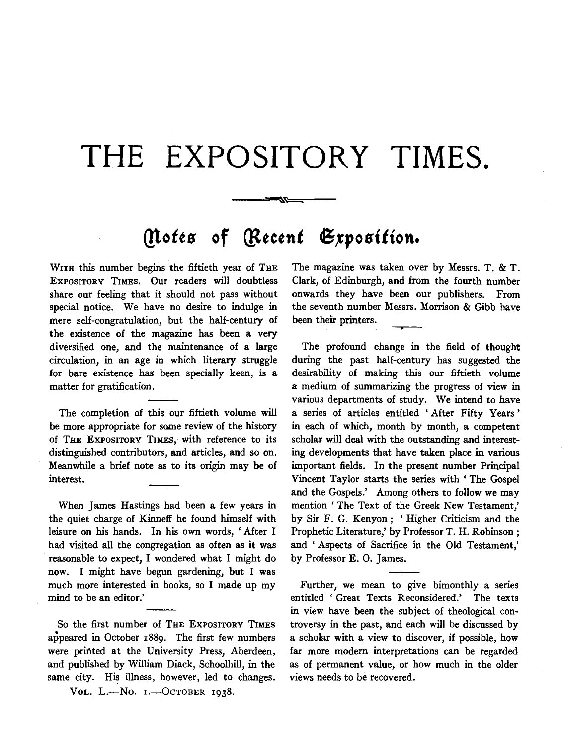## **THE EXPOSITORY TIMES.**

ゴロー

## *(Notes of [Recent Exposition.*

WITH this number begins the fiftieth year of THE ExPOSITORY TIMES. Our readers will doubtless share our feeling that it should not pass without special notice. We have no desire to indulge in mere self-congratulation, but the half-century of the existence of the magazine has been a very diversified one, and the maintenance of a large circulation, in an age in which literary struggle for bare existence has been specially keen, is a matter for gratification.

The completion of this our fiftieth volume will be more appropriate for same review of the history of THE EXPOSITORY TIMES, with reference to its distinguished contributors, and articles, and so on. Meanwhile a brief note as to its origin may be of interest.

When James Hastings had been a few years in the quiet charge of Kinneff he found himself with leisure on his hands. In his own words, ' After I had visited all the congregation as often as it was reasonable to expect, I wondered what I might do now. I might have begun gardening, but I was much more interested in books, so I made up my mind to be an editor.'

So the first number of THE EXPOSITORY TIMES appeared in October 188g. The first few numbers were printed at the University Press, Aberdeen, and published by William Diack, Schoolhill, in the same city. His illness, however, led to changes.

VOL. L.-No. I.-OCTOBER 1938.

The magazine was taken over by Messrs. T. & T. Clark, of Edinburgh, and from the fourth number onwards they have been our publishers. From the seventh number Messrs. Morrison & Gibb have been their printers.

The profound change in the field of thought during the past half-century has suggested the desirability of making this our fiftieth volume a medium of summarizing the progress of view in various departments of study. We intend to have a series of articles entitled 'After Fifty Years' in each of which, month by month, a competent scholar will deal with the outstanding and interesting developments that have taken place in various important fields. In the present number Principal Vincent Taylor starts the series with 'The Gospel and the Gospels.' Among others to follow we may mention' The Text of the Greek New Testament,' by Sir F. G. Kenyon; 'Higher Criticism and the Prophetic Literature,' by Professor T. H. Robinson; and 'Aspects of Sacrifice in the Old Testament,' by Professor E. 0. James.

Further, we mean to give bimonthly a series entitled ' Great Texts Reconsidered.' The texts in view have been the subject of theological controversy in the past, and each will be discussed by a scholar with a view to discover, if possible, how far more modern interpretations can be regarded as of permanent value, or how much in the older views needs to be recovered.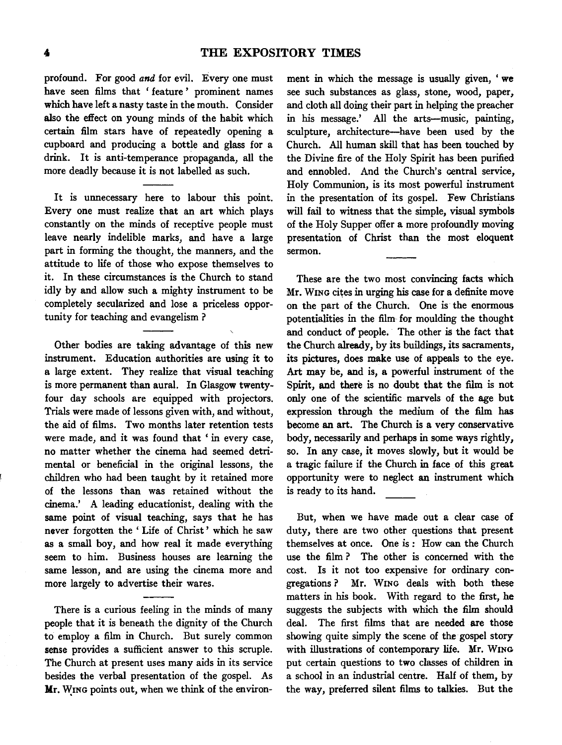profound. For good *and* for evil. Every one must have seen films that ' feature' prominent names which have left a nasty taste in the mouth. Consider also the effect on young minds of the habit which certain film stars have of repeatedly opening a cupboard and producing a bottle and glass for a drink. It is anti-temperance propaganda, all the more deadly because it is not labelled as such.

It is unnecessary here to labour this point. Every one must realize that an art which plays constantly on the minds of receptive people must leave nearly indelible marks, and have a large part in forming the thought, the manners, and the attitude to life of those who expose themselves to it. In these circumstances is the Church to stand idly by and allow such a mighty instrument to be completely secularized and lose a priceless opportunity for teaching and evangelism ?

Other bodies are taking advantage of this new instrument. Education authorities are using it to a large extent. They realize that visual teaching is more permanent than aural. In Glasgow twentyfour day schools are equipped with projectors. Trials were made of lessons given with, and without, the aid of films. Two months later retention tests were made, and it was found that ' in every case, no matter whether the cinema had seemed detrimental or beneficial in the original lessons, the children who had been taught by it retained more of the lessons than was retained without the cinema.' A leading educationist, dealing with the same point of visual teaching, says that he has never forgotten the ' Life of Christ' which he saw as a small boy, and how real it made everything seem to him. Business houses are learning the same lesson, and are using the cinema more and more largely to advertise their wares.

There is a curious feeling in the minds of many people that it is beneath the dignity of the Church to employ a film in Church. But surely common sense provides a sufficient answer to this scruple. The Church at present uses many aids in its service besides the verbal presentation of the gospel. As Mr. WING points out, when we think of the environ-

ment in which the message is usually given, ' we see such substances as glass, stone, wood, paper, and cloth all doing their part in helping the preacher in his message.' All the arts--music, painting, sculpture, architecture-have been used by the Church. All human skill that has been touched by the Divine fire of the Holy Spirit has been purified and ennobled. And the Church's central service, Holy Communion, is its most powerful instrument in the presentation of its gospel. Few Christians will fail to witness that the simple, visual symbols of the Holy Supper offer a more profoundly moving presentation of Christ than the most eloquent sermon.

These are the two most convincing facts which Mr. WING cites in urging his case for a definite move on the part of the Church. One is the enormous potentialities in the film for moulding the thought and conduct *ot* people. The other is the fact that the Church already, by its buildings, its sacraments, its pictures, does make use of appeals to the eye. Art may be, and is, a powerful instrument of the Spirit, and there is no doubt that the film is not only one of the scientific marvels of the age but expression through the medium of the film has become an art. The Church is a very conservative body, necessarily and perhaps in some ways rightly, so. In any case, it moves slowly, but it would be a tragic failure if the Church in face of this great opportunity were to neglect an instrument which is ready to its hand.

But, when we have made out a clear case of duty, there are two other questions that present themselves at once. One is : How can the Church use the film ? The other is concerned with the cost. Is it not too expensive for ordinary congregations? Mr. WING deals with both these matters in his book. With regard to the first, he suggests the subjects with which the film should deal. The first films that are needed are those showing quite simply the scene of the gospel story with illustrations of contemporary life. Mr. WING put certain questions to two classes of children in a school in an industrial centre. Half of them, by the way, preferred silent films to talkies. But the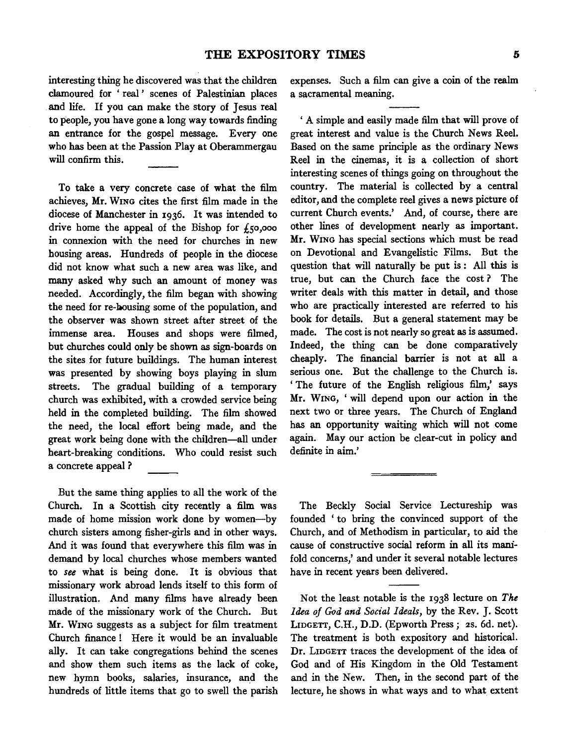interesting thing he discovered was that the children clamoured for ' real ' scenes of Palestinian places and life. If you can make the story of Jesus real to people, you have gone a long way towards finding an entrance for the gospel message. Every one who has been at the Passion Play at Oberammergau will confirm this.

To take a very concrete case of what the film achieves, Mr. WING cites the first film made in the diocese of Manchester in 1936. It was intended to drive home the appeal of the Bishop for  $f_5$ 0,000 in connexion with the need for churches in new housing areas. Hundreds of people in the diocese did not know what such a new area was like, and many asked why such an amount of money was needed. Accordingly, the film began with showing the need for re-bousing some of the population, and the observer was shown street after street of the immense area. Houses and shops were filmed, but churches could only be shown as sign-boards on the sites for future buildings. The human interest was presented by showing boys playing in slum streets. The gradual building of a temporary church was exhibited, with a crowded service being held in the completed building. The film showed the need, the local effort being made, and the great work being done with the children-all under heart-breaking conditions. Who could resist such a concrete appeal ?

But the same thing applies to all the work of the Church. In a Scottish city recently a film was made of home mission work done by women-by church sisters among fisher-girls and in other ways. And it was found that everywhere this film was in demand by local churches whose members wanted to *see* what is being done. It is obvious that missionary work abroad lends itself to this form of illustration. And many films have already been made of the missionary work of the Church. But Mr. WING suggests as a subject for film treatment Church finance ! Here it would be an invaluable ally. It can take congregations behind the scenes and show them such items as the lack of coke, new hymn books, salaries, insurance, and the hundreds of little items that go to swell the parish expenses. Such a film can give a coin of the realm a sacramental meaning.

' A simple and easily made film that will prove of great interest and value is the Church News Reel. Based on the same principle as the ordinary News Reel in the cinemas, it is a collection of short interesting scenes of things going on throughout the country. The material is collected by a central editor, and the complete reel gives a news picture of current Church events.' And, of course, there are other lines of development nearly as important. Mr. WING has special sections which must be read on Devotional and Evangelistic Films. But the question that will naturally be put is : All this is true, but can the Church face the cost ? The writer deals with this matter in detail, and those who are practically interested are referred to his book for details. But a general statement may be made. The cost is not nearly so great as is assumed. Indeed, the thing can be done comparatively cheaply. The financial barrier is not at all a serious one. But the challenge to the Church is. ' The future of the English religious film,' says Mr. WING, 'will depend upon our action in the next two or three years. The Church of England has an opportunity waiting which will not come again. May our action be clear-cut in policy and definite in aim.'

The Beckly Social Service Lectureship was founded ' to bring the convinced support of the Church, and of Methodism in particular, to aid the cause of constructive social reform in all its manifold concerns,' and under it several notable lectures have in recent years been delivered.

Not the least notable is the 1938 lecture on *The Idea of God and Social Ideals,* by the Rev. J. Scott LIDGETT, C.H., D.D. (Epworth Press; 2s. 6d. net). The treatment is both expository and historical. Dr. LIDGETT traces the development of the idea of God and of His Kingdom in the Old Testament and in the New. Then, in the second part of the lecture, he shows in what ways and to what extent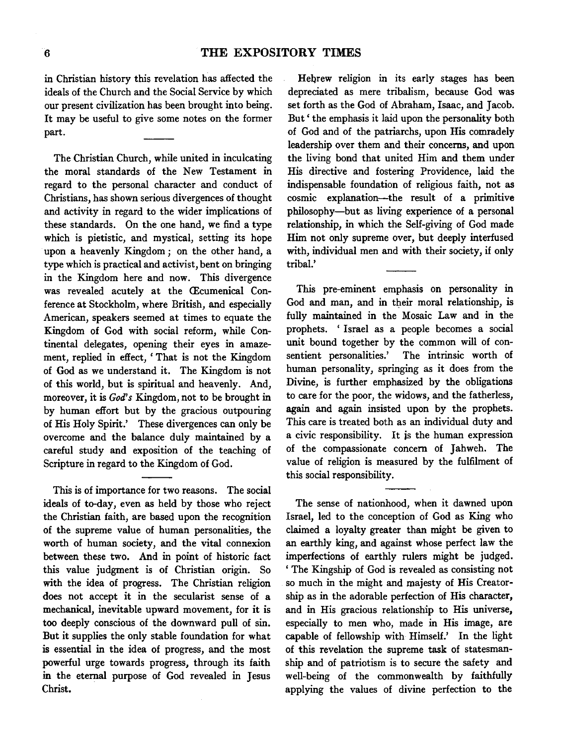in Christian history this revelation has affected the ideals of the Church and the Social Service by which our present civilization has been brought into being. It may be useful to give some notes on the former part.

The Christian Church, while united in inculcating the moral standards of the New Testament in regard to the personal character and conduct of Christians, has shown serious divergences of thought and activity in regard to the wider implications of these standards. On the one hand, we find a type which is pietistic, and mystical, setting its hope upon a heavenly Kingdom; on the other hand, a type which is practical and activist, bent on bringing in the Kingdom here and now. This divergence was revealed acutely at the Œcumenical Conference at Stockholm, where British, and especially American, speakers seemed at times to equate the Kingdom of God with social reform, while Continental delegates, opening their eyes in amazement, replied in effect, ' That is not the Kingdom of God as we understand it. The Kingdom is not of this world, but is spiritual and heavenly. And, moreover, it is *God's* Kingdom, not to be brought in by human effort but by the gracious outpouring of His Holy Spirit.' These divergences can only be overcome and the balance duly maintained by a careful study and exposition of the teaching of Scripture in regard to the Kingdom of God.

This is of importance for two reasons. The social ideals of to-day, even as held by those who reject the Christian faith, are based upon the recognition of the supreme value of human personalities, the worth of human society, and the vital connexion between these two. And in point of historic fact this value judgment is of Christian origin. So with the idea of progress. The Christian religion does not accept it in the secularist sense of a mechanical, inevitable upward movement, for it is too deeply conscious of the downward pull of sin. But it supplies the only stable foundation for what is essential in the idea of progress, and the most powerful urge towards progress, through its faith in the eternal purpose of God revealed in Jesus Christ.

Hebrew religion in its early stages has been depreciated as mere tribalism, because God was set forth as the God of Abraham, Isaac, and Jacob. But ' the emphasis it laid upon the personality both of God and of the patriarchs, upon His comradely leadership over them and their concerns, and upon the living bond that united Him and them under His directive and fostering Providence, laid the indispensable foundation of religious faith, not as cosmic explanation-the result of a primitive philosophy-but as living experience of a personal relationship, in which the Self-giving of God made Him not only supreme over, but deeply interfused with, individual men and with their society, if only tribal.'

This pre-eminent emphasis on personality in God and man, and in their moral relationship, is fully maintained in the Mosaic Law and in the prophets. ' Israel as a people becomes a social unit bound together by the common will of con-<br>sentient personalities.' The intrinsic worth of The intrinsic worth of human personality, springing as it does from the Divine, is further emphasized by the obligations to care for the poor, the widows, and the fatherless, again and again insisted upon by the prophets. This care is treated both as an individual duty and a civic responsibility. It is the human expression of the compassionate concern of Jahweh. The value of religion is measured by the fulfilment of this social responsibility.

The sense of nationhood, when it dawned upon Israel, led to the conception of God as King who claimed a loyalty greater than might be given to an earthly king, and against whose perfect law the imperfections of earthly rulers might be judged. ' The Kingship of God is revealed as consisting not so much in the might and majesty of His Creatorship as in the adorable perfection of His character, and in His gracious relationship to His universe, especially to men who, made in His image, are capable of fellowship with Himself.' In the light of this revelation the supreme task of statesmanship and of patriotism is to secure the safety and well-being of the commonwealth by faithfully applying the values of divine perfection to the